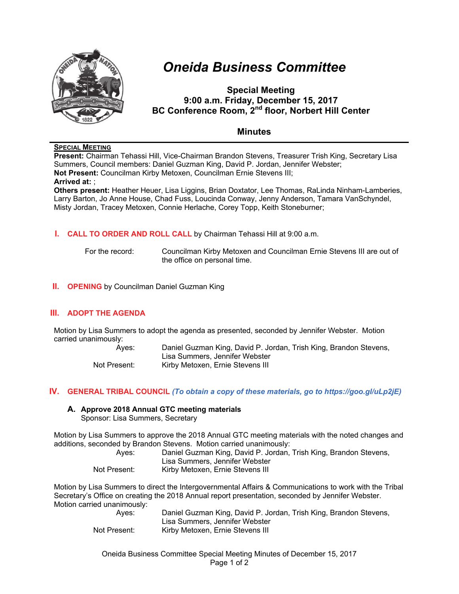

# *Oneida Business Committee*

**Special Meeting 9:00 a.m. Friday, December 15, 2017 BC Conference Room, 2nd floor, Norbert Hill Center** 

## **Minutes**

## **SPECIAL MEETING**

**Present:** Chairman Tehassi Hill, Vice-Chairman Brandon Stevens, Treasurer Trish King, Secretary Lisa Summers, Council members: Daniel Guzman King, David P. Jordan, Jennifer Webster; **Not Present:** Councilman Kirby Metoxen, Councilman Ernie Stevens III; **Arrived at:** ; **Others present:** Heather Heuer, Lisa Liggins, Brian Doxtator, Lee Thomas, RaLinda Ninham-Lamberies,

Larry Barton, Jo Anne House, Chad Fuss, Loucinda Conway, Jenny Anderson, Tamara VanSchyndel, Misty Jordan, Tracey Metoxen, Connie Herlache, Corey Topp, Keith Stoneburner;

## **I. CALL TO ORDER AND ROLL CALL** by Chairman Tehassi Hill at 9:00 a.m.

For the record: Councilman Kirby Metoxen and Councilman Ernie Stevens III are out of the office on personal time.

## **II. OPENING** by Councilman Daniel Guzman King

## **III. ADOPT THE AGENDA**

Motion by Lisa Summers to adopt the agenda as presented, seconded by Jennifer Webster. Motion carried unanimously:

Ayes: Daniel Guzman King, David P. Jordan, Trish King, Brandon Stevens, Lisa Summers, Jennifer Webster Not Present: Kirby Metoxen, Ernie Stevens III

## **IV. GENERAL TRIBAL COUNCIL** *(To obtain a copy of these materials, go to https://goo.gl/uLp2jE)*

#### **A. Approve 2018 Annual GTC meeting materials** Sponsor: Lisa Summers, Secretary

Motion by Lisa Summers to approve the 2018 Annual GTC meeting materials with the noted changes and additions, seconded by Brandon Stevens. Motion carried unanimously:

| Aves:        | Daniel Guzman King, David P. Jordan, Trish King, Brandon Stevens, |
|--------------|-------------------------------------------------------------------|
|              | Lisa Summers, Jennifer Webster                                    |
| Not Present: | Kirby Metoxen, Ernie Stevens III                                  |

Motion by Lisa Summers to direct the Intergovernmental Affairs & Communications to work with the Tribal Secretary's Office on creating the 2018 Annual report presentation, seconded by Jennifer Webster. Motion carried unanimously:

Ayes: Daniel Guzman King, David P. Jordan, Trish King, Brandon Stevens, Lisa Summers, Jennifer Webster Not Present: Kirby Metoxen, Ernie Stevens III

Oneida Business Committee Special Meeting Minutes of December 15, 2017 Page 1 of 2